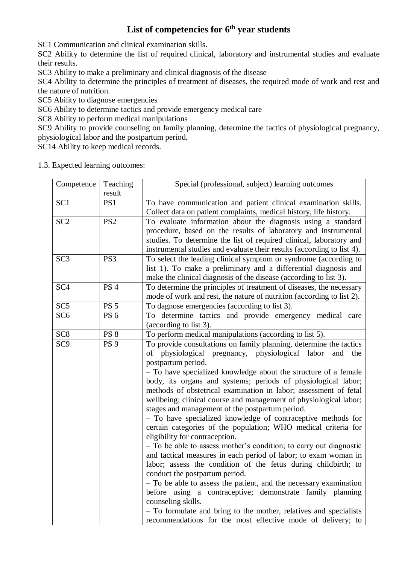# **List of competencies for 6th year students**

SC1 Communication and clinical examination skills.

SC2 Ability to determine the list of required clinical, laboratory and instrumental studies and evaluate their results.

SC3 Ability to make a preliminary and clinical diagnosis of the disease

SC4 Ability to determine the principles of treatment of diseases, the required mode of work and rest and the nature of nutrition.

SC5 Ability to diagnose emergencies

SC6 Ability to determine tactics and provide emergency medical care

SC8 Ability to perform medical manipulations

SC9 Ability to provide counseling on family planning, determine the tactics of physiological pregnancy, physiological labor and the postpartum period.

SC14 Ability to keep medical records.

1.3. Expected learning outcomes:

| Competence      | Teaching<br>result | Special (professional, subject) learning outcomes                                                                                                                                                                                                                                                                                                                                                                                                                                                                                                                                                                                                                                                                                                                                                                                                                                                                                                                                                                                                                                                                                                                                                      |
|-----------------|--------------------|--------------------------------------------------------------------------------------------------------------------------------------------------------------------------------------------------------------------------------------------------------------------------------------------------------------------------------------------------------------------------------------------------------------------------------------------------------------------------------------------------------------------------------------------------------------------------------------------------------------------------------------------------------------------------------------------------------------------------------------------------------------------------------------------------------------------------------------------------------------------------------------------------------------------------------------------------------------------------------------------------------------------------------------------------------------------------------------------------------------------------------------------------------------------------------------------------------|
| SC <sub>1</sub> | PS1                | To have communication and patient clinical examination skills.<br>Collect data on patient complaints, medical history, life history.                                                                                                                                                                                                                                                                                                                                                                                                                                                                                                                                                                                                                                                                                                                                                                                                                                                                                                                                                                                                                                                                   |
| SC <sub>2</sub> | PS <sub>2</sub>    | To evaluate information about the diagnosis using a standard<br>procedure, based on the results of laboratory and instrumental<br>studies. To determine the list of required clinical, laboratory and<br>instrumental studies and evaluate their results (according to list 4).                                                                                                                                                                                                                                                                                                                                                                                                                                                                                                                                                                                                                                                                                                                                                                                                                                                                                                                        |
| SC <sub>3</sub> | PS3                | To select the leading clinical symptom or syndrome (according to<br>list 1). To make a preliminary and a differential diagnosis and<br>make the clinical diagnosis of the disease (according to list 3).                                                                                                                                                                                                                                                                                                                                                                                                                                                                                                                                                                                                                                                                                                                                                                                                                                                                                                                                                                                               |
| SC <sub>4</sub> | <b>PS 4</b>        | To determine the principles of treatment of diseases, the necessary<br>mode of work and rest, the nature of nutrition (according to list 2).                                                                                                                                                                                                                                                                                                                                                                                                                                                                                                                                                                                                                                                                                                                                                                                                                                                                                                                                                                                                                                                           |
| SC <sub>5</sub> | <b>PS 5</b>        | To dagnose emergencies (according to list 3).                                                                                                                                                                                                                                                                                                                                                                                                                                                                                                                                                                                                                                                                                                                                                                                                                                                                                                                                                                                                                                                                                                                                                          |
| SC <sub>6</sub> | <b>PS 6</b>        | To determine tactics and provide emergency medical care<br>(according to list 3).                                                                                                                                                                                                                                                                                                                                                                                                                                                                                                                                                                                                                                                                                                                                                                                                                                                                                                                                                                                                                                                                                                                      |
| SC <sub>8</sub> | <b>PS 8</b>        | To perform medical manipulations (according to list 5).                                                                                                                                                                                                                                                                                                                                                                                                                                                                                                                                                                                                                                                                                                                                                                                                                                                                                                                                                                                                                                                                                                                                                |
| SC <sub>9</sub> | <b>PS</b> 9        | To provide consultations on family planning, determine the tactics<br>of physiological pregnancy, physiological labor<br>and<br>the<br>postpartum period.<br>- To have specialized knowledge about the structure of a female<br>body, its organs and systems; periods of physiological labor;<br>methods of obstetrical examination in labor; assessment of fetal<br>wellbeing; clinical course and management of physiological labor;<br>stages and management of the postpartum period.<br>- To have specialized knowledge of contraceptive methods for<br>certain categories of the population; WHO medical criteria for<br>eligibility for contraception.<br>- To be able to assess mother's condition; to carry out diagnostic<br>and tactical measures in each period of labor; to exam woman in<br>labor; assess the condition of the fetus during childbirth; to<br>conduct the postpartum period.<br>- To be able to assess the patient, and the necessary examination<br>before using a contraceptive; demonstrate family planning<br>counseling skills.<br>- To formulate and bring to the mother, relatives and specialists<br>recommendations for the most effective mode of delivery; to |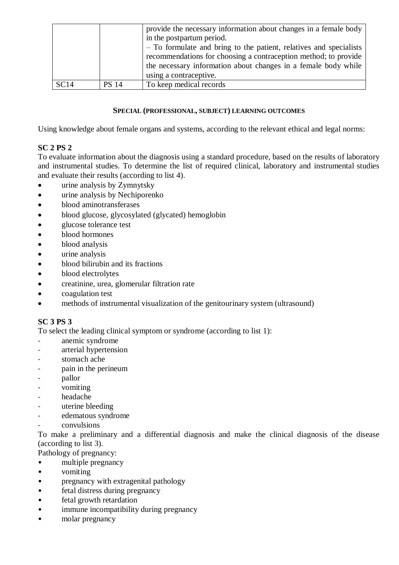|      |              | provide the necessary information about changes in a female body<br>in the postpartum period.<br>- To formulate and bring to the patient, relatives and specialists<br>recommendations for choosing a contraception method; to provide<br>the necessary information about changes in a female body while<br>using a contraceptive. |
|------|--------------|------------------------------------------------------------------------------------------------------------------------------------------------------------------------------------------------------------------------------------------------------------------------------------------------------------------------------------|
| SC14 | <b>PS 14</b> | To keep medical records                                                                                                                                                                                                                                                                                                            |

#### **SPECIAL (PROFESSIONAL, SUBJECT) LEARNING OUTCOMES**

Using knowledge about female organs and systems, according to the relevant ethical and legal norms:

# **SC 2 PS 2**

To evaluate information about the diagnosis using a standard procedure, based on the results of laboratory and instrumental studies. To determine the list of required clinical, laboratory and instrumental studies and evaluate their results (according to list 4).

- urine analysis by Zymnytsky
- urine analysis by Nechiporenko
- blood aminotransferases
- blood glucose, glycosylated (glycated) hemoglobin
- glucose tolerance test
- blood hormones
- blood analysis
- urine analysis
- blood bilirubin and its fractions
- blood electrolytes
- creatinine, urea, glomerular filtration rate
- coagulation test
- methods of instrumental visualization of the genitourinary system (ultrasound)

# **SC 3 PS 3**

To select the leading clinical symptom or syndrome (according to list 1):

- anemic syndrome
- arterial hypertension
- stomach ache
- pain in the perineum
- pallor
- vomiting
- headache
- uterine bleeding
- edematous syndrome
- convulsions

To make a preliminary and a differential diagnosis and make the clinical diagnosis of the disease (according to list 3).

Pathology of pregnancy:

- multiple pregnancy
- vomiting
- pregnancy with extragenital pathology
- fetal distress during pregnancy
- fetal growth retardation
- immune incompatibility during pregnancy
- molar pregnancy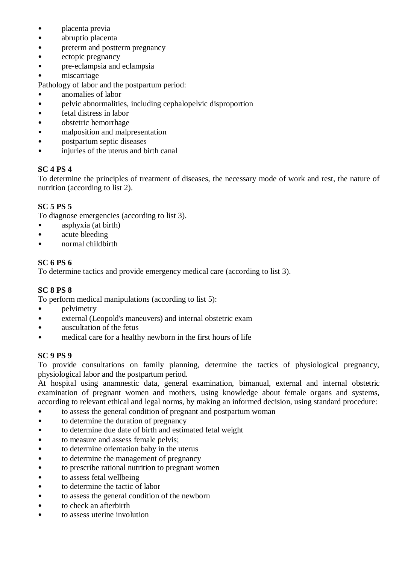- **placenta** previa
- abruptio placenta
- preterm and postterm pregnancy
- ectopic pregnancy
- pre-eclampsia and eclampsia
- miscarriage

Pathology of labor and the postpartum period:

- anomalies of labor
- pelvic abnormalities, including cephalopelvic disproportion
- fetal distress in labor
- obstetric hemorrhage
- malposition and malpresentation
- postpartum septic diseases
- injuries of the uterus and birth canal

# **SC 4 PS 4**

To determine the principles of treatment of diseases, the necessary mode of work and rest, the nature of nutrition (according to list 2).

## **SC 5 PS 5**

To diagnose emergencies (according to list 3).

- asphyxia (at birth)
- acute bleeding
- normal childbirth

### **SC 6 PS 6**

To determine tactics and provide emergency medical care (according to list 3).

### **SC 8 PS 8**

To perform medical manipulations (according to list 5):

- pelvimetry
- external (Leopold's maneuvers) and internal obstetric exam
- auscultation of the fetus
- medical care for a healthy newborn in the first hours of life

#### **SC 9 PS 9**

To provide consultations on family planning, determine the tactics of physiological pregnancy, physiological labor and the postpartum period.

At hospital using anamnestic data, general examination, bimanual, external and internal obstetric examination of pregnant women and mothers, using knowledge about female organs and systems, according to relevant ethical and legal norms, by making an informed decision, using standard procedure:

- to assess the general condition of pregnant and postpartum woman
- to determine the duration of pregnancy
- to determine due date of birth and estimated fetal weight
- to measure and assess female pelvis;
- to determine orientation baby in the uterus
- to determine the management of pregnancy
- to prescribe rational nutrition to pregnant women
- to assess fetal wellbeing
- to determine the tactic of labor
- to assess the general condition of the newborn
- to check an afterbirth
- to assess uterine involution